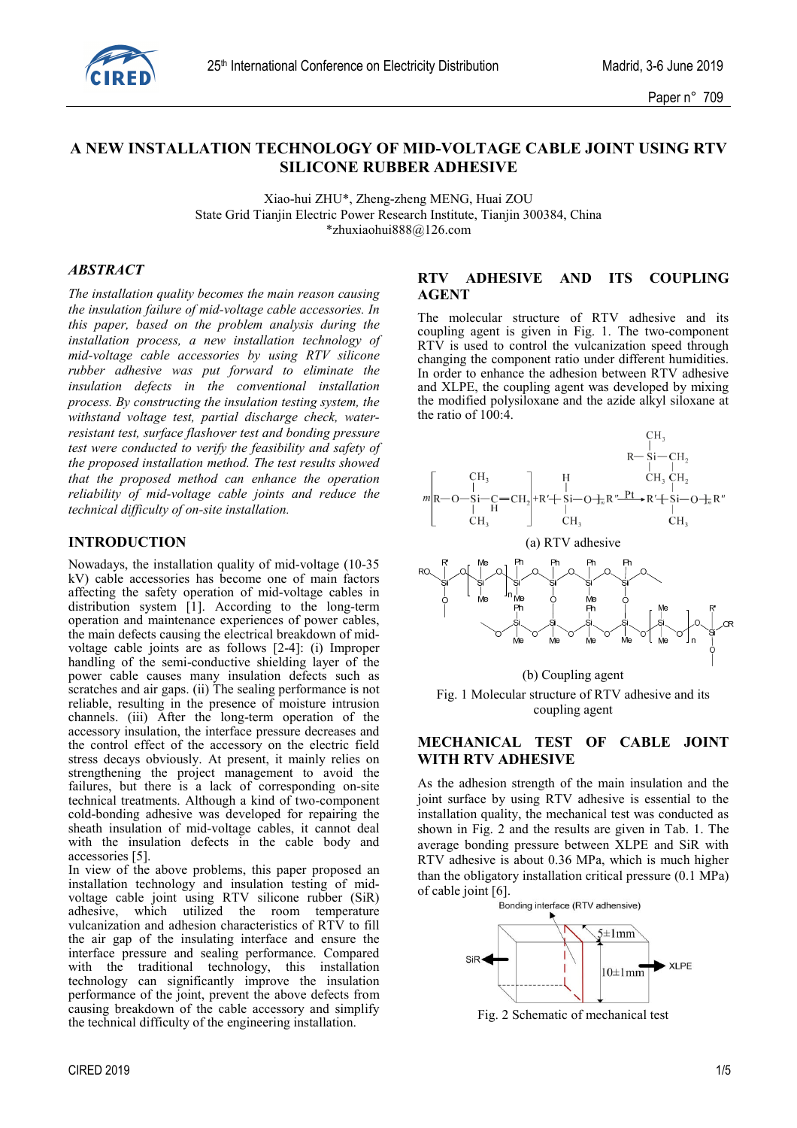

# **A NEW INSTALLATION TECHNOLOGY OF MID-VOLTAGE CABLE JOINT USING RTV SILICONE RUBBER ADHESIVE**

Xiao-hui ZHU\*, Zheng-zheng MENG, Huai ZOU State Grid Tianjin Electric Power Research Institute, Tianjin 300384, China \*zhuxiaohui888@126.com

#### *ABSTRACT*

*The installation quality becomes the main reason causing the insulation failure of mid-voltage cable accessories. In this paper, based on the problem analysis during the installation process, a new installation technology of mid-voltage cable accessories by using RTV silicone rubber adhesive was put forward to eliminate the insulation defects in the conventional installation process. By constructing the insulation testing system, the withstand voltage test, partial discharge check, waterresistant test, surface flashover test and bonding pressure test were conducted to verify the feasibility and safety of the proposed installation method. The test results showed that the proposed method can enhance the operation reliability of mid-voltage cable joints and reduce the technical difficulty of on-site installation.* 

#### **INTRODUCTION**

Nowadays, the installation quality of mid-voltage (10-35 kV) cable accessories has become one of main factors affecting the safety operation of mid-voltage cables in distribution system [1]. According to the long-term operation and maintenance experiences of power cables, the main defects causing the electrical breakdown of midvoltage cable joints are as follows [2-4]: (i) Improper handling of the semi-conductive shielding layer of the power cable causes many insulation defects such as scratches and air gaps. (ii) The sealing performance is not reliable, resulting in the presence of moisture intrusion channels. (iii) After the long-term operation of the accessory insulation, the interface pressure decreases and the control effect of the accessory on the electric field stress decays obviously. At present, it mainly relies on strengthening the project management to avoid the failures, but there is a lack of corresponding on-site technical treatments. Although a kind of two-component cold-bonding adhesive was developed for repairing the sheath insulation of mid-voltage cables, it cannot deal with the insulation defects in the cable body and accessories [5].

In view of the above problems, this paper proposed an installation technology and insulation testing of midvoltage cable joint using RTV silicone rubber (SiR) adhesive, which utilized the room temperature vulcanization and adhesion characteristics of RTV to fill the air gap of the insulating interface and ensure the interface pressure and sealing performance. Compared with the traditional technology, this installation technology can significantly improve the insulation performance of the joint, prevent the above defects from causing breakdown of the cable accessory and simplify the technical difficulty of the engineering installation.

#### **RTV ADHESIVE AND ITS COUPLING AGENT**

The molecular structure of RTV adhesive and its coupling agent is given in Fig. 1. The two-component RTV is used to control the vulcanization speed through changing the component ratio under different humidities. In order to enhance the adhesion between RTV adhesive and XLPE, the coupling agent was developed by mixing the modified polysiloxane and the azide alkyl siloxane at the ratio of  $100:4$ .





## **MECHANICAL TEST OF CABLE JOINT WITH RTV ADHESIVE**

As the adhesion strength of the main insulation and the joint surface by using RTV adhesive is essential to the installation quality, the mechanical test was conducted as shown in Fig. 2 and the results are given in Tab. 1. The average bonding pressure between XLPE and SiR with RTV adhesive is about 0.36 MPa, which is much higher than the obligatory installation critical pressure (0.1 MPa) of cable joint [6].<br>Bonding interface (RTV adhensive)



Fig. 2 Schematic of mechanical test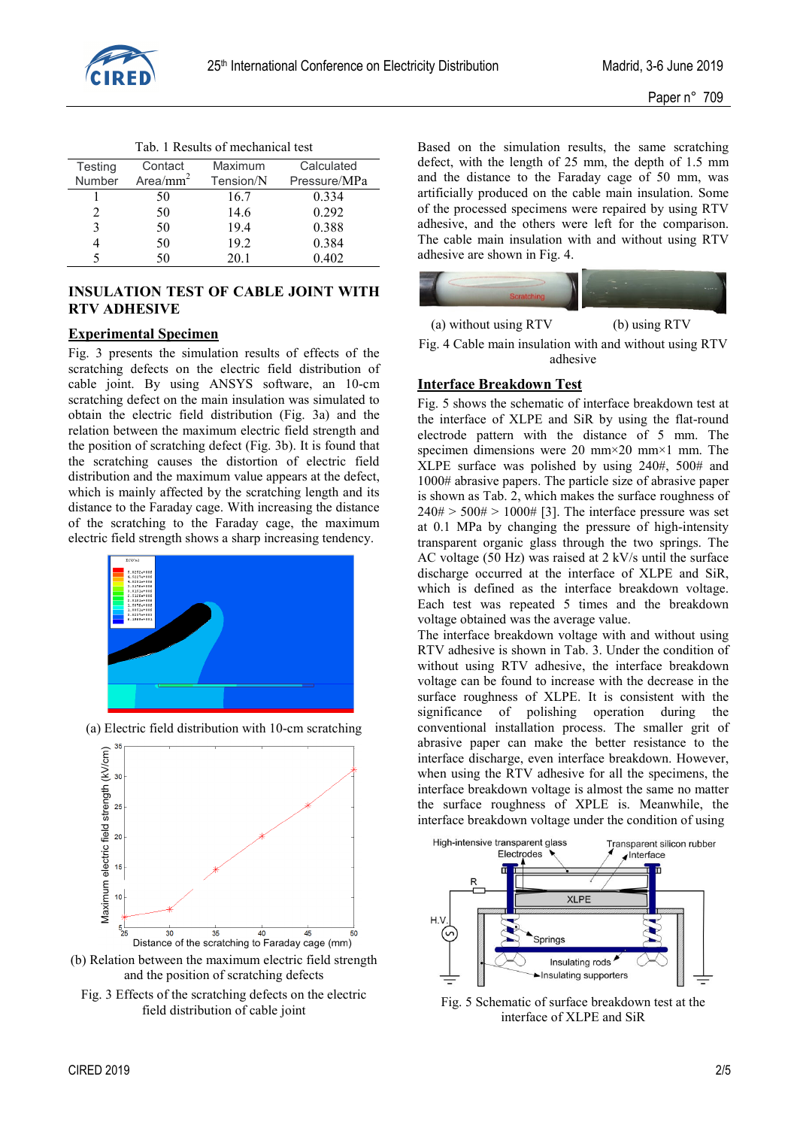

|  |  | Tab. 1 Results of mechanical test |  |
|--|--|-----------------------------------|--|
|--|--|-----------------------------------|--|

| Testing       | Contact     | Maximum   | Calculated   |
|---------------|-------------|-----------|--------------|
| <b>Number</b> | Area/ $mm2$ | Tension/N | Pressure/MPa |
|               | 50          | 16.7      | 0.334        |
|               | 50          | 14.6      | 0.292        |
| 3             | 50          | 19.4      | 0.388        |
|               | 50          | 19.2      | 0.384        |
|               | 50          | 20.1      | 0.402        |

## **INSULATION TEST OF CABLE JOINT WITH RTV ADHESIVE**

## **Experimental Specimen**

Fig. 3 presents the simulation results of effects of the scratching defects on the electric field distribution of cable joint. By using ANSYS software, an 10-cm scratching defect on the main insulation was simulated to obtain the electric field distribution (Fig. 3a) and the relation between the maximum electric field strength and the position of scratching defect (Fig. 3b). It is found that the scratching causes the distortion of electric field distribution and the maximum value appears at the defect, which is mainly affected by the scratching length and its distance to the Faraday cage. With increasing the distance of the scratching to the Faraday cage, the maximum electric field strength shows a sharp increasing tendency.





(a) Electric field distribution with 10-cm scratching

and the position of scratching defects Fig. 3 Effects of the scratching defects on the electric field distribution of cable joint

Based on the simulation results, the same scratching defect, with the length of 25 mm, the depth of 1.5 mm and the distance to the Faraday cage of 50 mm, was artificially produced on the cable main insulation. Some of the processed specimens were repaired by using RTV adhesive, and the others were left for the comparison. The cable main insulation with and without using RTV adhesive are shown in Fig. 4.



Fig. 4 Cable main insulation with and without using RTV adhesive

## **Interface Breakdown Test**

Fig. 5 shows the schematic of interface breakdown test at the interface of XLPE and SiR by using the flat-round electrode pattern with the distance of 5 mm. The specimen dimensions were 20 mm×20 mm×1 mm. The XLPE surface was polished by using 240#, 500# and 1000# abrasive papers. The particle size of abrasive paper is shown as Tab. 2, which makes the surface roughness of  $240# > 500# > 1000#$  [3]. The interface pressure was set at 0.1 MPa by changing the pressure of high-intensity transparent organic glass through the two springs. The AC voltage (50 Hz) was raised at 2 kV/s until the surface discharge occurred at the interface of XLPE and SiR, which is defined as the interface breakdown voltage. Each test was repeated 5 times and the breakdown voltage obtained was the average value.

The interface breakdown voltage with and without using RTV adhesive is shown in Tab. 3. Under the condition of without using RTV adhesive, the interface breakdown voltage can be found to increase with the decrease in the surface roughness of XLPE. It is consistent with the significance of polishing operation during the conventional installation process. The smaller grit of abrasive paper can make the better resistance to the interface discharge, even interface breakdown. However, when using the RTV adhesive for all the specimens, the interface breakdown voltage is almost the same no matter the surface roughness of XPLE is. Meanwhile, the interface breakdown voltage under the condition of using



Fig. 5 Schematic of surface breakdown test at the interface of XLPE and SiR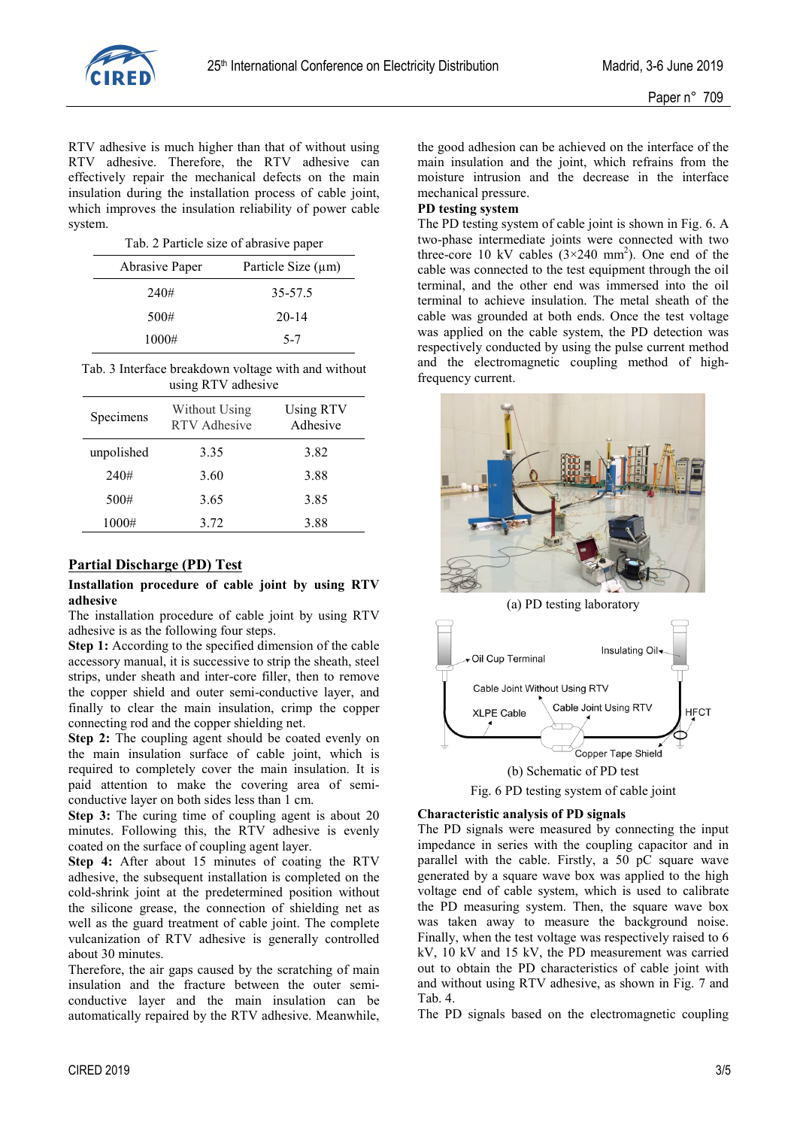

RTV adhesive is much higher than that of without using RTV adhesive. Therefore, the RTV adhesive can effectively repair the mechanical defects on the main insulation during the installation process of cable joint, which improves the insulation reliability of power cable system.

| Abrasive Paper | Particle Size (µm) |
|----------------|--------------------|
| 240#           | 35-57.5            |
| 500#           | $20 - 14$          |
| 1000#          | $5 - 7$            |

Tab. 3 Interface breakdown voltage with and without using RTV adhesive

| Specimens  | Without Using<br><b>RTV</b> Adhesive | <b>Using RTV</b><br>Adhesive |
|------------|--------------------------------------|------------------------------|
| unpolished | 3.35                                 | 3.82                         |
| 240#       | 3.60                                 | 3.88                         |
| 500#       | 3.65                                 | 3.85                         |
| 1000#      | 3.72                                 | 3.88                         |

## **Partial Discharge (PD) Test**

#### **Installation procedure of cable joint by using RTV adhesive**

The installation procedure of cable joint by using RTV adhesive is as the following four steps.

**Step 1:** According to the specified dimension of the cable accessory manual, it is successive to strip the sheath, steel strips, under sheath and inter-core filler, then to remove the copper shield and outer semi-conductive layer, and finally to clear the main insulation, crimp the copper connecting rod and the copper shielding net.

**Step 2:** The coupling agent should be coated evenly on the main insulation surface of cable joint, which is required to completely cover the main insulation. It is paid attention to make the covering area of semiconductive layer on both sides less than 1 cm.

**Step 3:** The curing time of coupling agent is about 20 minutes. Following this, the RTV adhesive is evenly coated on the surface of coupling agent layer.

**Step 4:** After about 15 minutes of coating the RTV adhesive, the subsequent installation is completed on the cold-shrink joint at the predetermined position without the silicone grease, the connection of shielding net as well as the guard treatment of cable joint. The complete vulcanization of RTV adhesive is generally controlled about 30 minutes.

Therefore, the air gaps caused by the scratching of main insulation and the fracture between the outer semiconductive layer and the main insulation can be automatically repaired by the RTV adhesive. Meanwhile,

the good adhesion can be achieved on the interface of the main insulation and the joint, which refrains from the moisture intrusion and the decrease in the interface mechanical pressure.

#### **PD testing system**

The PD testing system of cable joint is shown in Fig. 6. A two-phase intermediate joints were connected with two three-core 10 kV cables  $(3\times240 \text{ mm}^2)$ . One end of the cable was connected to the test equipment through the oil terminal, and the other end was immersed into the oil terminal to achieve insulation. The metal sheath of the cable was grounded at both ends. Once the test voltage was applied on the cable system, the PD detection was respectively conducted by using the pulse current method and the electromagnetic coupling method of highfrequency current.



(a) PD testing laboratory



# Fig. 6 PD testing system of cable joint

## **Characteristic analysis of PD signals**

The PD signals were measured by connecting the input impedance in series with the coupling capacitor and in parallel with the cable. Firstly, a 50 pC square wave generated by a square wave box was applied to the high voltage end of cable system, which is used to calibrate the PD measuring system. Then, the square wave box was taken away to measure the background noise. Finally, when the test voltage was respectively raised to 6 kV, 10 kV and 15 kV, the PD measurement was carried out to obtain the PD characteristics of cable joint with and without using RTV adhesive, as shown in Fig. 7 and Tab. 4.

The PD signals based on the electromagnetic coupling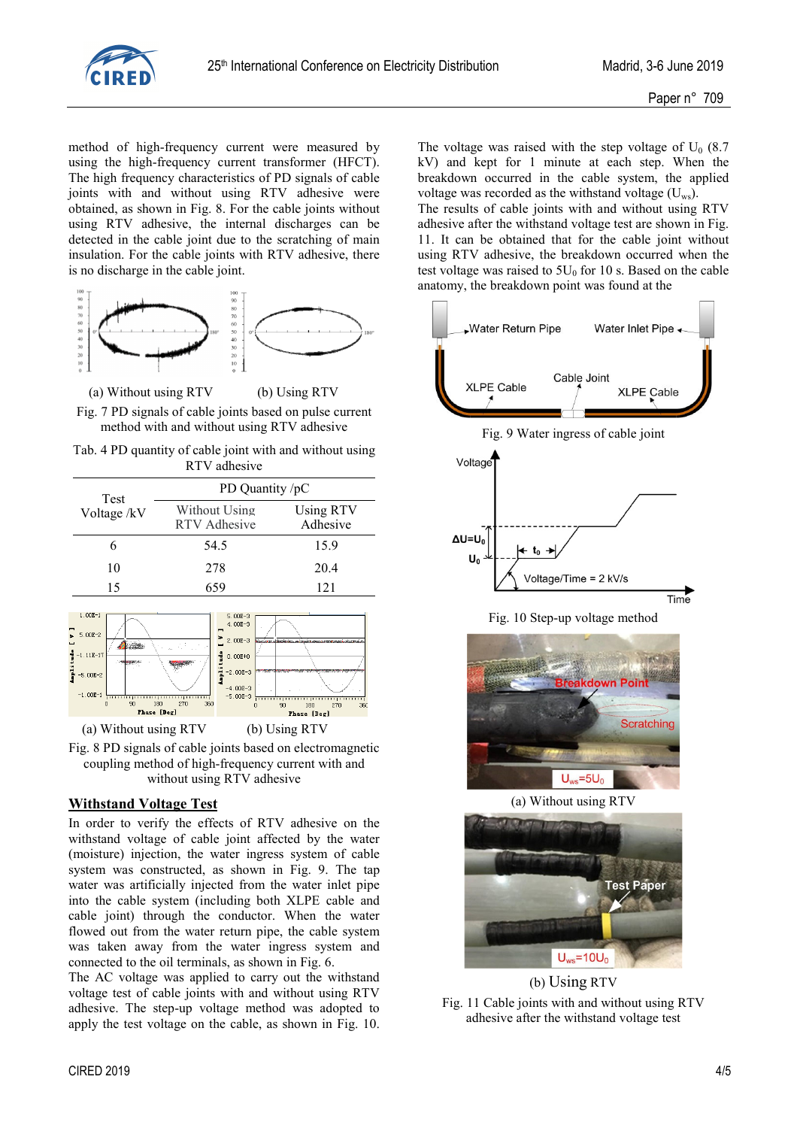

method of high-frequency current were measured by using the high-frequency current transformer (HFCT). The high frequency characteristics of PD signals of cable joints with and without using RTV adhesive were obtained, as shown in Fig. 8. For the cable joints without using RTV adhesive, the internal discharges can be detected in the cable joint due to the scratching of main insulation. For the cable joints with RTV adhesive, there is no discharge in the cable joint.



 (a) Without using RTV (b) Using RTV Fig. 7 PD signals of cable joints based on pulse current

method with and without using RTV adhesive

Tab. 4 PD quantity of cable joint with and without using RTV adhesive

| Test       | PD Quantity /pC               |                              |  |
|------------|-------------------------------|------------------------------|--|
| Voltage/kV | Without Using<br>RTV Adhesive | <b>Using RTV</b><br>Adhesive |  |
| 6          | 54.5                          | 15.9                         |  |
| 10         | 278                           | 20.4                         |  |
| 15         | 659                           | 121                          |  |



Fig. 8 PD signals of cable joints based on electromagnetic coupling method of high-frequency current with and without using RTV adhesive

#### **Withstand Voltage Test**

In order to verify the effects of RTV adhesive on the withstand voltage of cable joint affected by the water (moisture) injection, the water ingress system of cable system was constructed, as shown in Fig. 9. The tap water was artificially injected from the water inlet pipe into the cable system (including both XLPE cable and cable joint) through the conductor. When the water flowed out from the water return pipe, the cable system was taken away from the water ingress system and connected to the oil terminals, as shown in Fig. 6.

The AC voltage was applied to carry out the withstand voltage test of cable joints with and without using RTV adhesive. The step-up voltage method was adopted to apply the test voltage on the cable, as shown in Fig. 10. The voltage was raised with the step voltage of  $U_0$  (8.7) kV) and kept for 1 minute at each step. When the breakdown occurred in the cable system, the applied voltage was recorded as the withstand voltage  $(U_{ws})$ .

The results of cable joints with and without using RTV adhesive after the withstand voltage test are shown in Fig. 11. It can be obtained that for the cable joint without using RTV adhesive, the breakdown occurred when the test voltage was raised to  $5U_0$  for 10 s. Based on the cable anatomy, the breakdown point was found at the



Fig. 10 Step-up voltage method



(a) Without using RTV



(b) Using RTV

Fig. 11 Cable joints with and without using RTV adhesive after the withstand voltage test